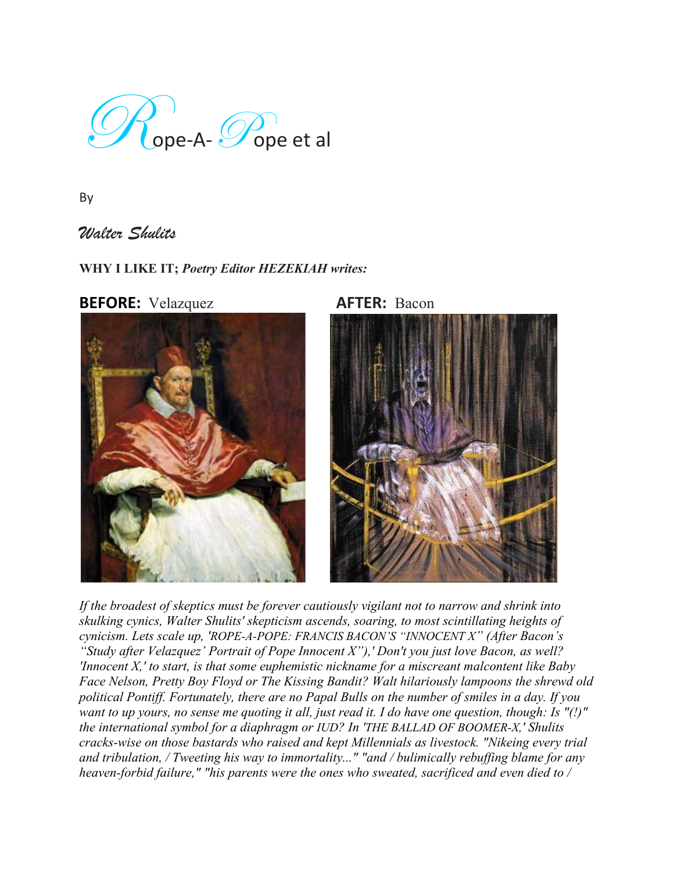$\mathscr{D}_{\mathsf{C}$ ope-A- $\mathscr{P}_{\mathsf{ope}}$ et al

By

*Walter Shulits*

# **WHY I LIKE IT;** *Poetry Editor HEZEKIAH writes:*



*If the broadest of skeptics must be forever cautiously vigilant not to narrow and shrink into skulking cynics, Walter Shulits' skepticism ascends, soaring, to most scintillating heights of cynicism. Lets scale up, 'ROPE-A-POPE: FRANCIS BACON'S "INNOCENT X" (After Bacon's "Study after Velazquez' Portrait of Pope Innocent X"),' Don't you just love Bacon, as well? 'Innocent X,' to start, is that some euphemistic nickname for a miscreant malcontent like Baby Face Nelson, Pretty Boy Floyd or The Kissing Bandit? Walt hilariously lampoons the shrewd old political Pontiff. Fortunately, there are no Papal Bulls on the number of smiles in a day. If you want to up yours, no sense me quoting it all, just read it. I do have one question, though: Is "(!)" the international symbol for a diaphragm or IUD? In 'THE BALLAD OF BOOMER-X,' Shulits cracks-wise on those bastards who raised and kept Millennials as livestock. "Nikeing every trial and tribulation, / Tweeting his way to immortality..." "and / bulimically rebuffing blame for any heaven-forbid failure," "his parents were the ones who sweated, sacrificed and even died to /*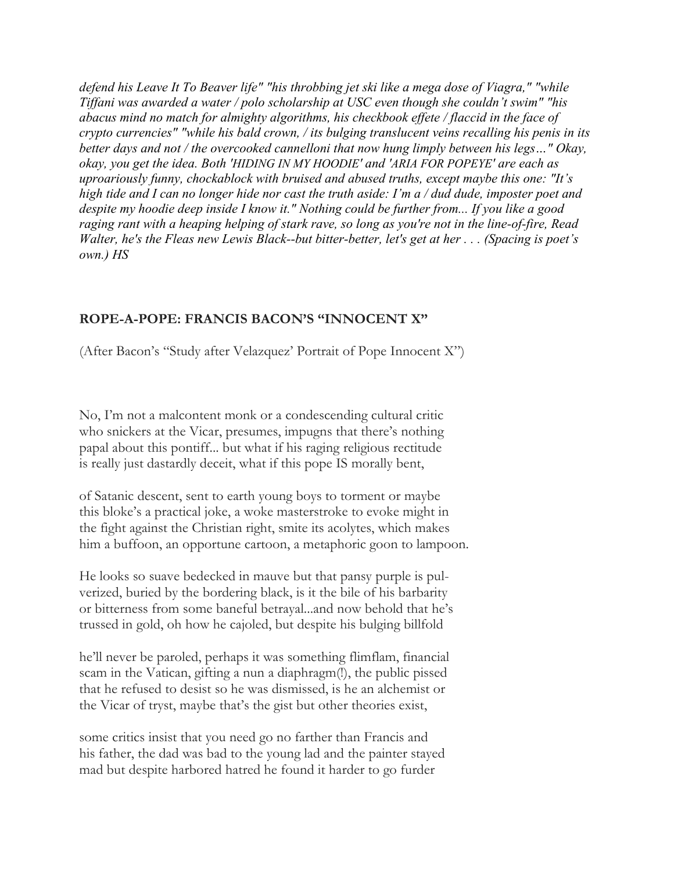*defend his Leave It To Beaver life" "his throbbing jet ski like a mega dose of Viagra," "while Tiffani was awarded a water / polo scholarship at USC even though she couldn't swim" "his abacus mind no match for almighty algorithms, his checkbook effete / flaccid in the face of crypto currencies" "while his bald crown, / its bulging translucent veins recalling his penis in its better days and not / the overcooked cannelloni that now hung limply between his legs…" Okay, okay, you get the idea. Both 'HIDING IN MY HOODIE' and 'ARIA FOR POPEYE' are each as uproariously funny, chockablock with bruised and abused truths, except maybe this one: "It's high tide and I can no longer hide nor cast the truth aside: I'm a / dud dude, imposter poet and despite my hoodie deep inside I know it." Nothing could be further from... If you like a good raging rant with a heaping helping of stark rave, so long as you're not in the line-of-fire, Read Walter, he's the Fleas new Lewis Black-but bitter-better, let's get at her ... (Spacing is poet's own.) HS*

## **ROPE-A-POPE: FRANCIS BACON'S "INNOCENT X"**

(After Bacon's "Study after Velazquez' Portrait of Pope Innocent X")

No, I'm not a malcontent monk or a condescending cultural critic who snickers at the Vicar, presumes, impugns that there's nothing papal about this pontiff... but what if his raging religious rectitude is really just dastardly deceit, what if this pope IS morally bent,

of Satanic descent, sent to earth young boys to torment or maybe this bloke's a practical joke, a woke masterstroke to evoke might in the fight against the Christian right, smite its acolytes, which makes him a buffoon, an opportune cartoon, a metaphoric goon to lampoon.

He looks so suave bedecked in mauve but that pansy purple is pulverized, buried by the bordering black, is it the bile of his barbarity or bitterness from some baneful betrayal...and now behold that he's trussed in gold, oh how he cajoled, but despite his bulging billfold

he'll never be paroled, perhaps it was something flimflam, financial scam in the Vatican, gifting a nun a diaphragm(!), the public pissed that he refused to desist so he was dismissed, is he an alchemist or the Vicar of tryst, maybe that's the gist but other theories exist,

some critics insist that you need go no farther than Francis and his father, the dad was bad to the young lad and the painter stayed mad but despite harbored hatred he found it harder to go furder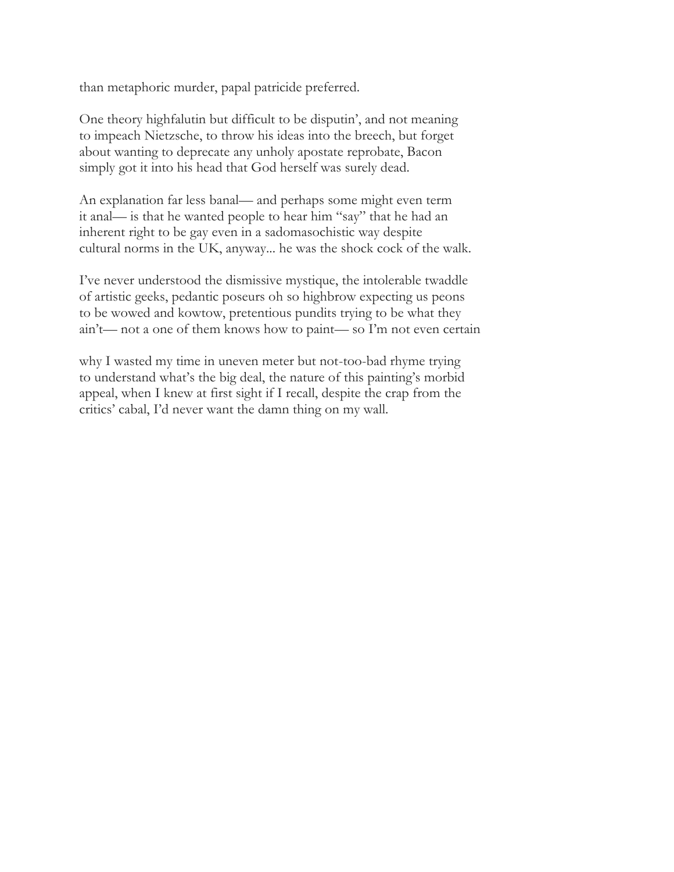than metaphoric murder, papal patricide preferred.

One theory highfalutin but difficult to be disputin', and not meaning to impeach Nietzsche, to throw his ideas into the breech, but forget about wanting to deprecate any unholy apostate reprobate, Bacon simply got it into his head that God herself was surely dead.

An explanation far less banal— and perhaps some might even term it anal— is that he wanted people to hear him "say" that he had an inherent right to be gay even in a sadomasochistic way despite cultural norms in the UK, anyway... he was the shock cock of the walk.

I've never understood the dismissive mystique, the intolerable twaddle of artistic geeks, pedantic poseurs oh so highbrow expecting us peons to be wowed and kowtow, pretentious pundits trying to be what they ain't— not a one of them knows how to paint— so I'm not even certain

why I wasted my time in uneven meter but not-too-bad rhyme trying to understand what's the big deal, the nature of this painting's morbid appeal, when I knew at first sight if I recall, despite the crap from the critics' cabal, I'd never want the damn thing on my wall.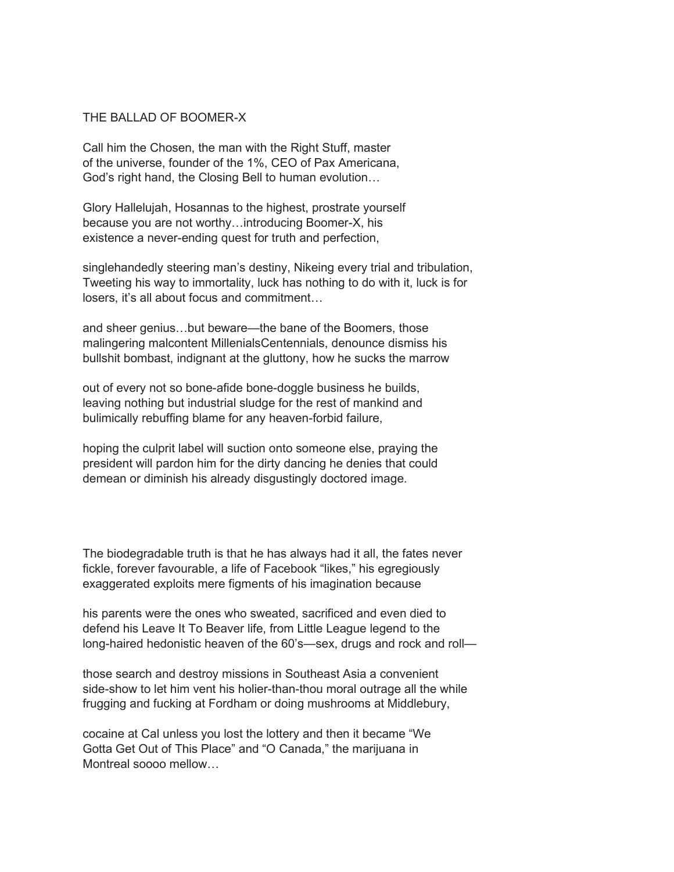### THE BALLAD OF BOOMER-X

Call him the Chosen, the man with the Right Stuff, master of the universe, founder of the 1%, CEO of Pax Americana, God's right hand, the Closing Bell to human evolution…

Glory Hallelujah, Hosannas to the highest, prostrate yourself because you are not worthy…introducing Boomer-X, his existence a never-ending quest for truth and perfection,

singlehandedly steering man's destiny, Nikeing every trial and tribulation, Tweeting his way to immortality, luck has nothing to do with it, luck is for losers, it's all about focus and commitment…

and sheer genius…but beware—the bane of the Boomers, those malingering malcontent MillenialsCentennials, denounce dismiss his bullshit bombast, indignant at the gluttony, how he sucks the marrow

out of every not so bone-afide bone-doggle business he builds, leaving nothing but industrial sludge for the rest of mankind and bulimically rebuffing blame for any heaven-forbid failure,

hoping the culprit label will suction onto someone else, praying the president will pardon him for the dirty dancing he denies that could demean or diminish his already disgustingly doctored image.

The biodegradable truth is that he has always had it all, the fates never fickle, forever favourable, a life of Facebook "likes," his egregiously exaggerated exploits mere figments of his imagination because

his parents were the ones who sweated, sacrificed and even died to defend his Leave It To Beaver life, from Little League legend to the long-haired hedonistic heaven of the 60's—sex, drugs and rock and roll—

those search and destroy missions in Southeast Asia a convenient side-show to let him vent his holier-than-thou moral outrage all the while frugging and fucking at Fordham or doing mushrooms at Middlebury,

cocaine at Cal unless you lost the lottery and then it became "We Gotta Get Out of This Place" and "O Canada," the marijuana in Montreal soooo mellow…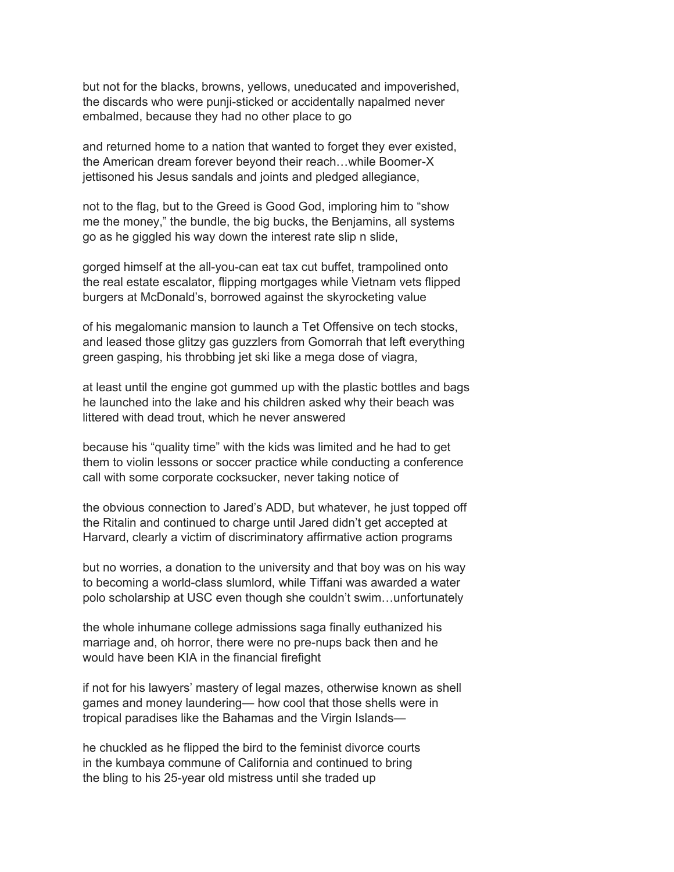but not for the blacks, browns, yellows, uneducated and impoverished, the discards who were punji-sticked or accidentally napalmed never embalmed, because they had no other place to go

and returned home to a nation that wanted to forget they ever existed, the American dream forever beyond their reach…while Boomer-X jettisoned his Jesus sandals and joints and pledged allegiance,

not to the flag, but to the Greed is Good God, imploring him to "show me the money," the bundle, the big bucks, the Benjamins, all systems go as he giggled his way down the interest rate slip n slide,

gorged himself at the all-you-can eat tax cut buffet, trampolined onto the real estate escalator, flipping mortgages while Vietnam vets flipped burgers at McDonald's, borrowed against the skyrocketing value

of his megalomanic mansion to launch a Tet Offensive on tech stocks, and leased those glitzy gas guzzlers from Gomorrah that left everything green gasping, his throbbing jet ski like a mega dose of viagra,

at least until the engine got gummed up with the plastic bottles and bags he launched into the lake and his children asked why their beach was littered with dead trout, which he never answered

because his "quality time" with the kids was limited and he had to get them to violin lessons or soccer practice while conducting a conference call with some corporate cocksucker, never taking notice of

the obvious connection to Jared's ADD, but whatever, he just topped off the Ritalin and continued to charge until Jared didn't get accepted at Harvard, clearly a victim of discriminatory affirmative action programs

but no worries, a donation to the university and that boy was on his way to becoming a world-class slumlord, while Tiffani was awarded a water polo scholarship at USC even though she couldn't swim…unfortunately

the whole inhumane college admissions saga finally euthanized his marriage and, oh horror, there were no pre-nups back then and he would have been KIA in the financial firefight

if not for his lawyers' mastery of legal mazes, otherwise known as shell games and money laundering— how cool that those shells were in tropical paradises like the Bahamas and the Virgin Islands—

he chuckled as he flipped the bird to the feminist divorce courts in the kumbaya commune of California and continued to bring the bling to his 25-year old mistress until she traded up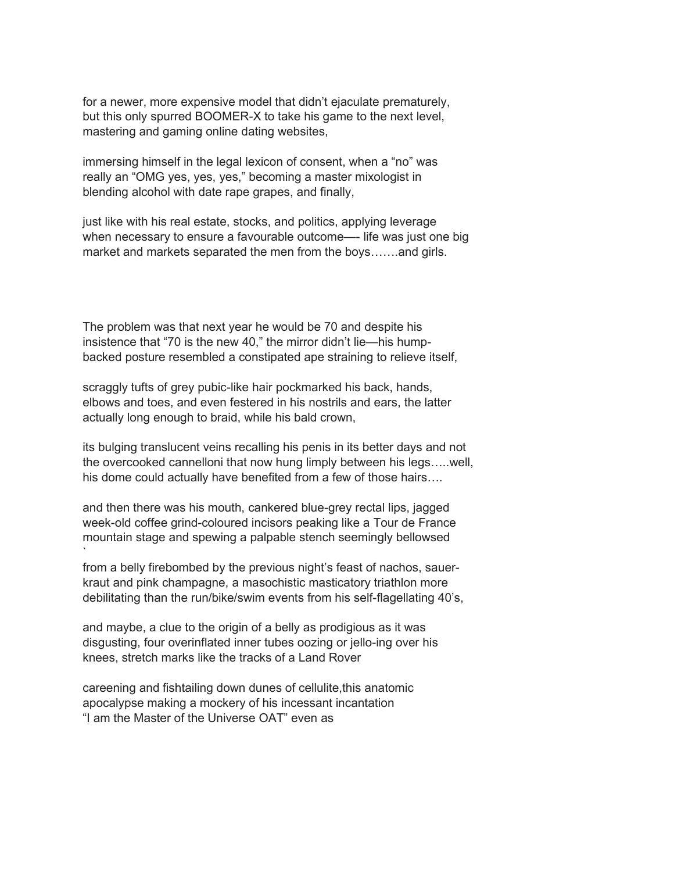for a newer, more expensive model that didn't ejaculate prematurely, but this only spurred BOOMER-X to take his game to the next level, mastering and gaming online dating websites,

immersing himself in the legal lexicon of consent, when a "no" was really an "OMG yes, yes, yes," becoming a master mixologist in blending alcohol with date rape grapes, and finally,

just like with his real estate, stocks, and politics, applying leverage when necessary to ensure a favourable outcome—- life was just one big market and markets separated the men from the boys…….and girls.

The problem was that next year he would be 70 and despite his insistence that "70 is the new 40," the mirror didn't lie—his humpbacked posture resembled a constipated ape straining to relieve itself,

scraggly tufts of grey pubic-like hair pockmarked his back, hands, elbows and toes, and even festered in his nostrils and ears, the latter actually long enough to braid, while his bald crown,

its bulging translucent veins recalling his penis in its better days and not the overcooked cannelloni that now hung limply between his legs…..well, his dome could actually have benefited from a few of those hairs….

and then there was his mouth, cankered blue-grey rectal lips, jagged week-old coffee grind-coloured incisors peaking like a Tour de France mountain stage and spewing a palpable stench seemingly bellowsed `

from a belly firebombed by the previous night's feast of nachos, sauerkraut and pink champagne, a masochistic masticatory triathlon more debilitating than the run/bike/swim events from his self-flagellating 40's,

and maybe, a clue to the origin of a belly as prodigious as it was disgusting, four overinflated inner tubes oozing or jello-ing over his knees, stretch marks like the tracks of a Land Rover

careening and fishtailing down dunes of cellulite,this anatomic apocalypse making a mockery of his incessant incantation "I am the Master of the Universe OAT" even as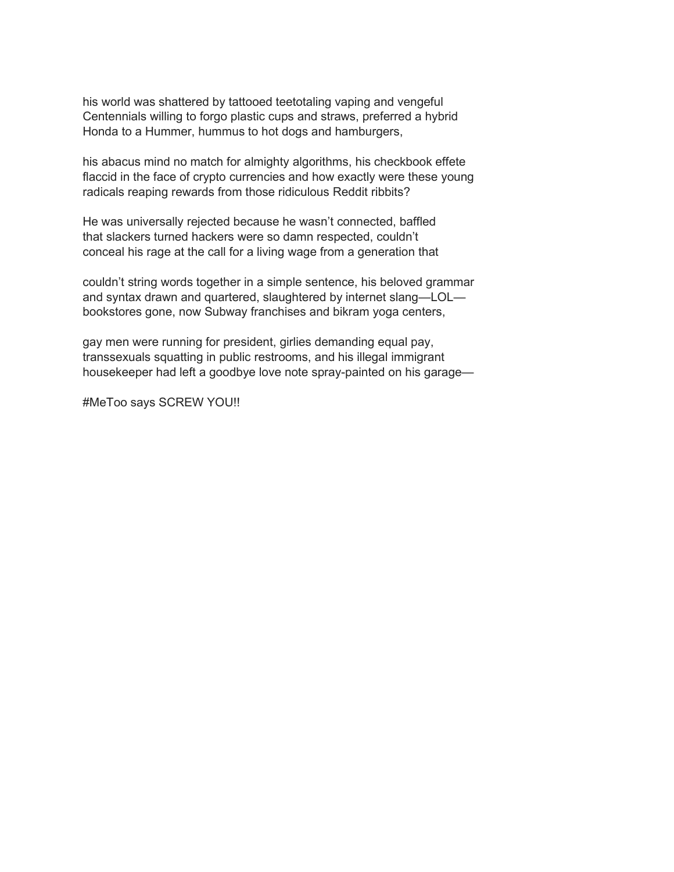his world was shattered by tattooed teetotaling vaping and vengeful Centennials willing to forgo plastic cups and straws, preferred a hybrid Honda to a Hummer, hummus to hot dogs and hamburgers,

his abacus mind no match for almighty algorithms, his checkbook effete flaccid in the face of crypto currencies and how exactly were these young radicals reaping rewards from those ridiculous Reddit ribbits?

He was universally rejected because he wasn't connected, baffled that slackers turned hackers were so damn respected, couldn't conceal his rage at the call for a living wage from a generation that

couldn't string words together in a simple sentence, his beloved grammar and syntax drawn and quartered, slaughtered by internet slang—LOL bookstores gone, now Subway franchises and bikram yoga centers,

gay men were running for president, girlies demanding equal pay, transsexuals squatting in public restrooms, and his illegal immigrant housekeeper had left a goodbye love note spray-painted on his garage—

#MeToo says SCREW YOU!!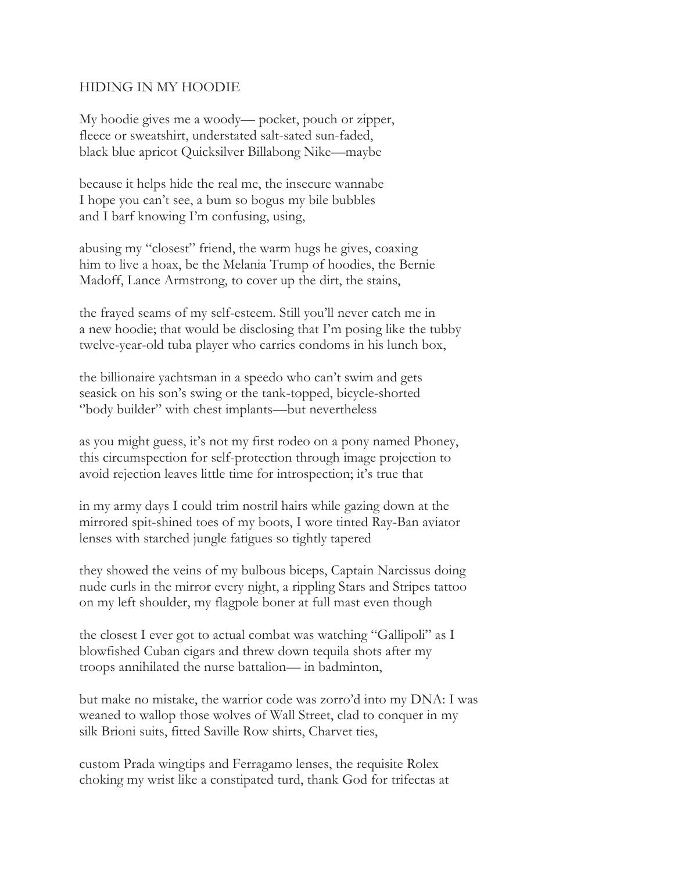### HIDING IN MY HOODIE

My hoodie gives me a woody— pocket, pouch or zipper, fleece or sweatshirt, understated salt-sated sun-faded, black blue apricot Quicksilver Billabong Nike—maybe

because it helps hide the real me, the insecure wannabe I hope you can't see, a bum so bogus my bile bubbles and I barf knowing I'm confusing, using,

abusing my "closest" friend, the warm hugs he gives, coaxing him to live a hoax, be the Melania Trump of hoodies, the Bernie Madoff, Lance Armstrong, to cover up the dirt, the stains,

the frayed seams of my self-esteem. Still you'll never catch me in a new hoodie; that would be disclosing that I'm posing like the tubby twelve-year-old tuba player who carries condoms in his lunch box,

the billionaire yachtsman in a speedo who can't swim and gets seasick on his son's swing or the tank-topped, bicycle-shorted ''body builder" with chest implants—but nevertheless

as you might guess, it's not my first rodeo on a pony named Phoney, this circumspection for self-protection through image projection to avoid rejection leaves little time for introspection; it's true that

in my army days I could trim nostril hairs while gazing down at the mirrored spit-shined toes of my boots, I wore tinted Ray-Ban aviator lenses with starched jungle fatigues so tightly tapered

they showed the veins of my bulbous biceps, Captain Narcissus doing nude curls in the mirror every night, a rippling Stars and Stripes tattoo on my left shoulder, my flagpole boner at full mast even though

the closest I ever got to actual combat was watching "Gallipoli" as I blowfished Cuban cigars and threw down tequila shots after my troops annihilated the nurse battalion— in badminton,

but make no mistake, the warrior code was zorro'd into my DNA: I was weaned to wallop those wolves of Wall Street, clad to conquer in my silk Brioni suits, fitted Saville Row shirts, Charvet ties,

custom Prada wingtips and Ferragamo lenses, the requisite Rolex choking my wrist like a constipated turd, thank God for trifectas at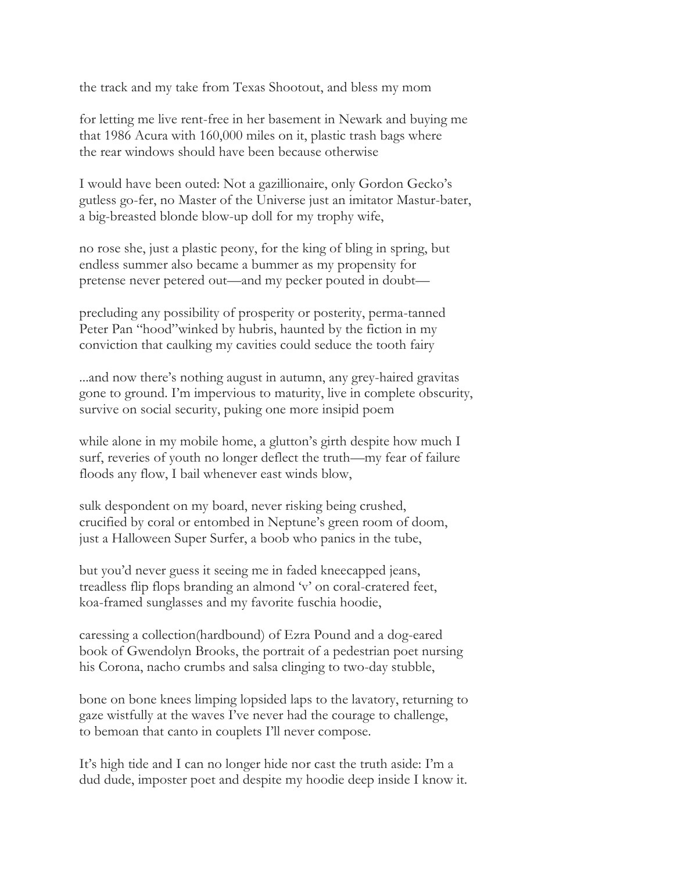the track and my take from Texas Shootout, and bless my mom

for letting me live rent-free in her basement in Newark and buying me that 1986 Acura with 160,000 miles on it, plastic trash bags where the rear windows should have been because otherwise

I would have been outed: Not a gazillionaire, only Gordon Gecko's gutless go-fer, no Master of the Universe just an imitator Mastur-bater, a big-breasted blonde blow-up doll for my trophy wife,

no rose she, just a plastic peony, for the king of bling in spring, but endless summer also became a bummer as my propensity for pretense never petered out—and my pecker pouted in doubt—

precluding any possibility of prosperity or posterity, perma-tanned Peter Pan "hood"winked by hubris, haunted by the fiction in my conviction that caulking my cavities could seduce the tooth fairy

...and now there's nothing august in autumn, any grey-haired gravitas gone to ground. I'm impervious to maturity, live in complete obscurity, survive on social security, puking one more insipid poem

while alone in my mobile home, a glutton's girth despite how much I surf, reveries of youth no longer deflect the truth—my fear of failure floods any flow, I bail whenever east winds blow,

sulk despondent on my board, never risking being crushed, crucified by coral or entombed in Neptune's green room of doom, just a Halloween Super Surfer, a boob who panics in the tube,

but you'd never guess it seeing me in faded kneecapped jeans, treadless flip flops branding an almond 'v' on coral-cratered feet, koa-framed sunglasses and my favorite fuschia hoodie,

caressing a collection(hardbound) of Ezra Pound and a dog-eared book of Gwendolyn Brooks, the portrait of a pedestrian poet nursing his Corona, nacho crumbs and salsa clinging to two-day stubble,

bone on bone knees limping lopsided laps to the lavatory, returning to gaze wistfully at the waves I've never had the courage to challenge, to bemoan that canto in couplets I'll never compose.

It's high tide and I can no longer hide nor cast the truth aside: I'm a dud dude, imposter poet and despite my hoodie deep inside I know it.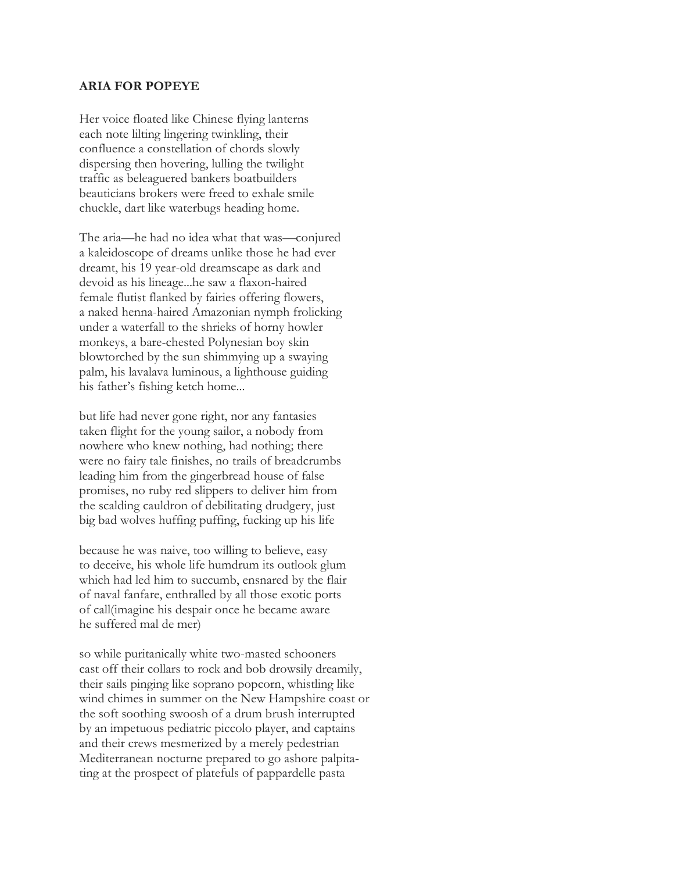#### **ARIA FOR POPEYE**

Her voice floated like Chinese flying lanterns each note lilting lingering twinkling, their confluence a constellation of chords slowly dispersing then hovering, lulling the twilight traffic as beleaguered bankers boatbuilders beauticians brokers were freed to exhale smile chuckle, dart like waterbugs heading home.

The aria—he had no idea what that was—conjured a kaleidoscope of dreams unlike those he had ever dreamt, his 19 year-old dreamscape as dark and devoid as his lineage...he saw a flaxon-haired female flutist flanked by fairies offering flowers, a naked henna-haired Amazonian nymph frolicking under a waterfall to the shrieks of horny howler monkeys, a bare-chested Polynesian boy skin blowtorched by the sun shimmying up a swaying palm, his lavalava luminous, a lighthouse guiding his father's fishing ketch home...

but life had never gone right, nor any fantasies taken flight for the young sailor, a nobody from nowhere who knew nothing, had nothing; there were no fairy tale finishes, no trails of breadcrumbs leading him from the gingerbread house of false promises, no ruby red slippers to deliver him from the scalding cauldron of debilitating drudgery, just big bad wolves huffing puffing, fucking up his life

because he was naive, too willing to believe, easy to deceive, his whole life humdrum its outlook glum which had led him to succumb, ensnared by the flair of naval fanfare, enthralled by all those exotic ports of call(imagine his despair once he became aware he suffered mal de mer)

so while puritanically white two-masted schooners cast off their collars to rock and bob drowsily dreamily, their sails pinging like soprano popcorn, whistling like wind chimes in summer on the New Hampshire coast or the soft soothing swoosh of a drum brush interrupted by an impetuous pediatric piccolo player, and captains and their crews mesmerized by a merely pedestrian Mediterranean nocturne prepared to go ashore palpitating at the prospect of platefuls of pappardelle pasta